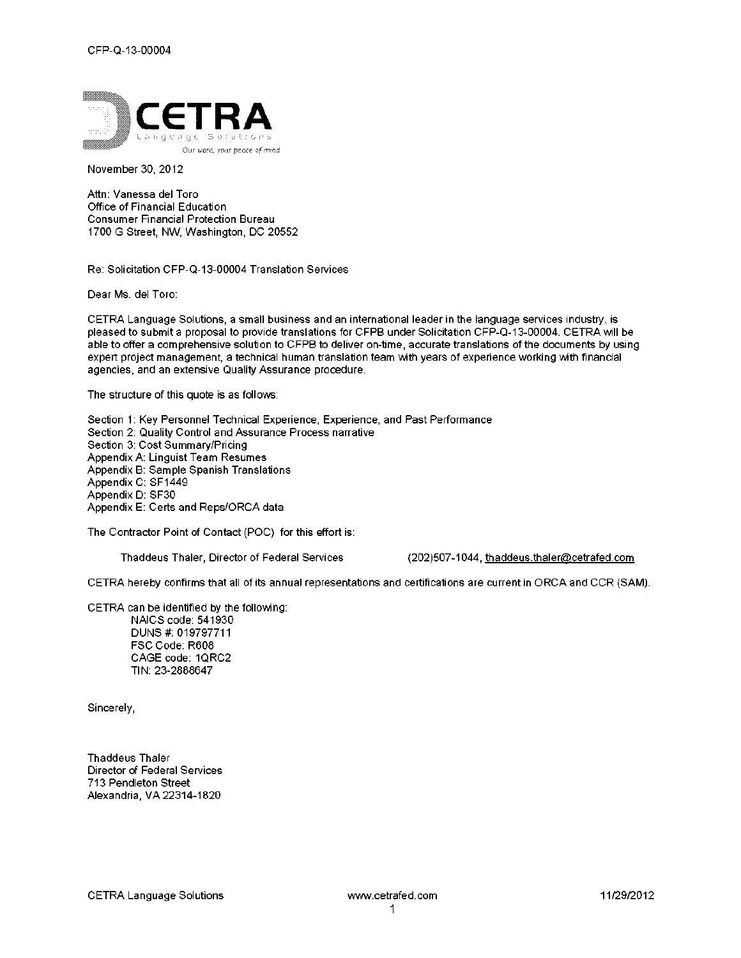

November 30, 2012

Attn: Vanessa del Toro Office of Financial Education Consumer Financial Protection Bureau 1700 G Street, NW, Washington, DC 20552

Re: Solicitation CFP-Q-13-00004 Translation Services

Dear Ms. del Toro:

CETRA Language Solutions, a small business and an international leader in the language services industry, is pleased to submit a proposal to provide translations for CFPB under Solicitation CFP-Q-13-00004. CETRA will be able to offer a comprehensive solution to CFPB to deliver on-time, accurate translations of the documents by using expert project management, a technical human translation team with years of experience working with financial agencies, and an extensive Quality Assurance procedure.

The structure of this quote is as follows:

Section 1: Key Personnel Technical Experience, Experience, and Past Performance Section 2: Quality Control and Assurance Process narrative Section 3: Cost Summary/Pricing Appendix A: Linguist Team Resumes Appendix B: Sample Spanish Translations Appendix C: SF1449 Appendix D: SF30 Appendix E: Certs and Reps/ORCA data

The Contractor Point of Contact (POC) for this effort is:

Thaddeus Thaler, Director of Federal Services (202)507-1044, thaddeus.thaler@cetrafed.com

CETRA hereby confirms that all of its annual representations and certifications are current in ORCA and CCR (SAM).

CETRA can be identified by the following: NAICS code: 541930 DUNS #: 019797711 FSC Code: R608 CAGE code: 1QRC2 TIN: 23-2888647

Sincerely,

Thaddeus Thaler Director of Federal Services 713 Pendleton Street Alexandria, VA 22314-1820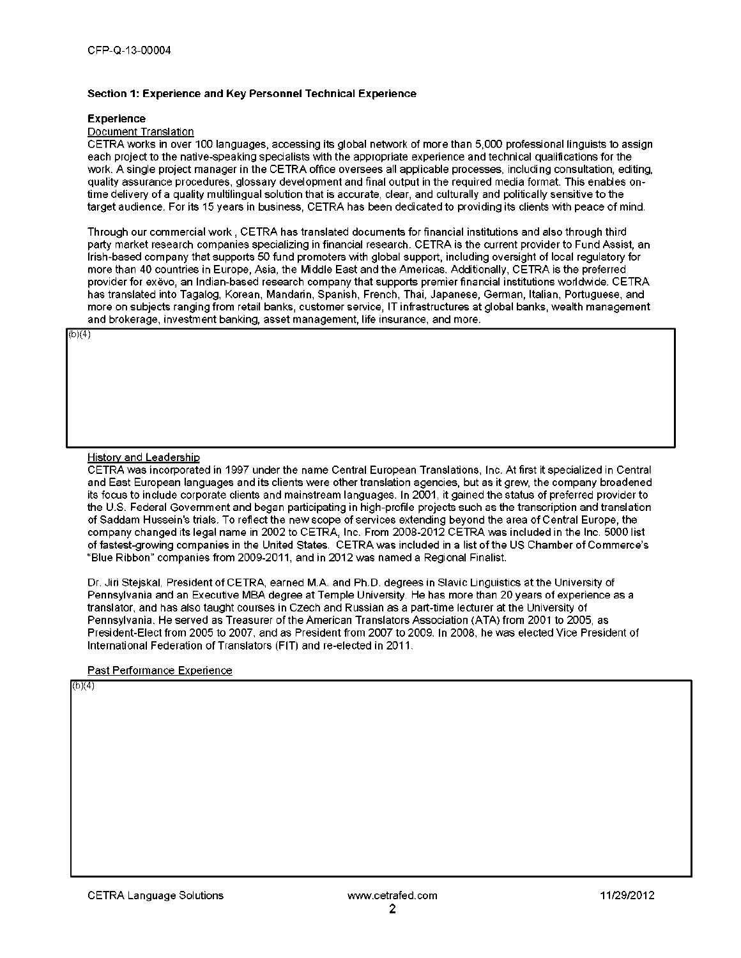### Section 1: Experience and Key Personnel Technical Experience

#### **Experience**

#### Document Translation

CETRA works in over 100 languages, accessing its global network of more than 5,000 professional linguists to assign each project to the native-speaking specialists with the appropriate experience and technical qualifications for the work. A single project manager in the CETRA office oversees all applicable processes, including consultation, editing, quality assurance procedures, glossary development and final output in the required media format. This enables ontime delivery of a quality multilingual solution that is accurate, clear, and culturally and politically sensitive to the target audience. For its 15 years in business, CETRA has been dedicated to providing its clients with peace of mind.

Through our commercial work , CETRA has translated documents for financial institutions and also through third party market research companies specializing in financial research. CETRA is the current provider to Fund Assist, an Irish-based company that supports 50 fund promoters with global support, including oversight of local regulatory for more than 40 countries in Europe, Asia, the Middle East and the Americas. Additionally, CETRA is the preferred provider for exevo, an Indian-based research company that supports premier financial institutions worldwide. CETRA has translated into Tagalog, Korean, Mandarin, Spanish, French, Thai, Japanese, German, Italian, Portuguese, and more on subjects ranging from retail banks, customer service, IT infrastructures at global banks, wealth management and brokerage, investment banking, asset management, life insurance, and more.

 $(b)(4)$ 

### History and Leadership

CETRA was incorporated in 1997 under the name Central European Translations, Inc. At first it specialized in Central and East European languages and its clients were other translation agencies, but as it grew, the company broadened its focus to include corporate clients and mainstream languages. In 2001, it gained the status of preferred provider to the U.S. Federal Government and began participating in high-profile projects such as the transcription and translation of Saddam Hussein's trials. To reflect the new scope of services extending beyond the area of Central Europe, the company changed its legal name in 2002 to CETRA, Inc. From 2008-2012 CETRA was included in the Inc. 5000 list of fastest-growing companies in the United States. CETRA was included in a list of the US Chamber of Commerce's "Blue Ribbon" companies from 2009-2011, and in 2012 was named a Regional Finalist.

Dr. Jiri Stejskal, President of CETRA, earned M.A. and Ph.D. degrees in Slavic Linguistics at the University of Pennsylvania and an Executive MBA degree at Temple University. He has more than 20 years of experience as a translator, and has also taught courses in Czech and Russian as a part-lime lecturer at the University of Pennsylvania. He served as Treasurer of the American Translators Association (ATA) from 2001 to 2005, as President-Elect from 2005 to 2007, and as President from 2007 to 2009. In 2008, he was elected Vice President of International Federation of Translators (FIT) and re-elected in 2011.

#### Past Performance Experience

 $(b)(4)$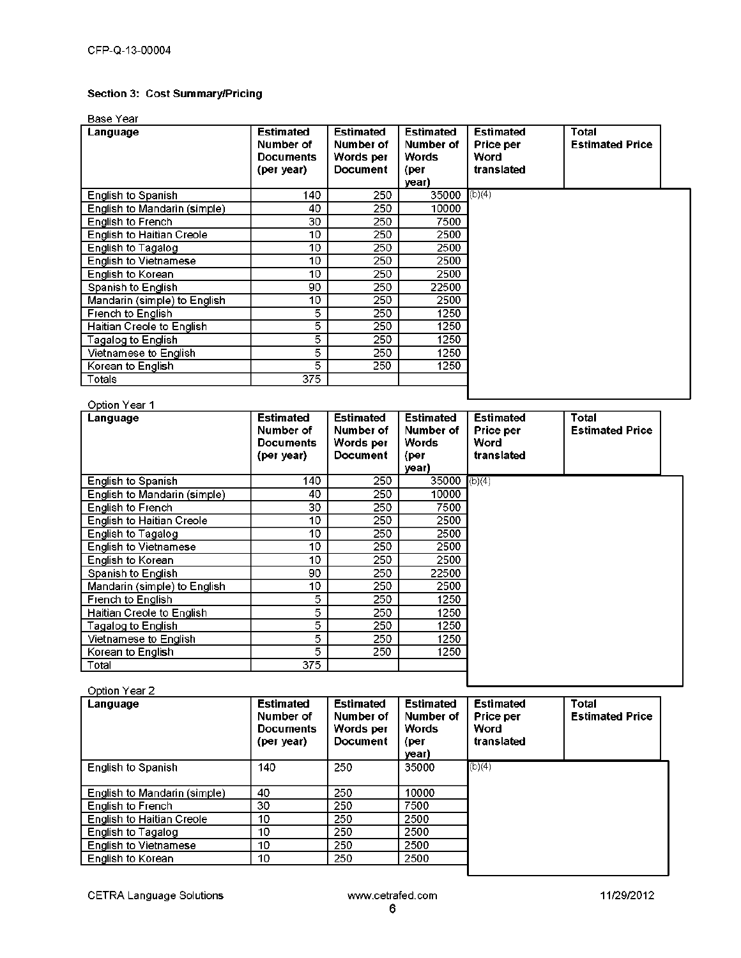## Section 3: Cost Summary/Pricing

## Base Year

| Language                         | <b>Estimated</b><br>Number of<br><b>Documents</b><br>(per year) | <b>Estimated</b><br>Number of<br>Words per<br><b>Document</b> | <b>Estimated</b><br>Number of<br>Words<br>(per<br>year) | <b>Estimated</b><br>Price per<br>Word<br>translated | Total<br><b>Estimated Price</b> |  |
|----------------------------------|-----------------------------------------------------------------|---------------------------------------------------------------|---------------------------------------------------------|-----------------------------------------------------|---------------------------------|--|
| English to Spanish               | 140                                                             | 250                                                           | 35000                                                   | (b)(4)                                              |                                 |  |
| English to Mandarin (simple)     | 40                                                              | 250                                                           | 10000                                                   |                                                     |                                 |  |
| English to French                | 30                                                              | 250                                                           | 7500                                                    |                                                     |                                 |  |
| <b>English to Haitian Creole</b> | 10                                                              | 250                                                           | 2500                                                    |                                                     |                                 |  |
| English to Tagalog               | 10                                                              | 250                                                           | 2500                                                    |                                                     |                                 |  |
| <b>English to Vietnamese</b>     | 10                                                              | 250                                                           | 2500                                                    |                                                     |                                 |  |
| English to Korean                | 10                                                              | 250                                                           | 2500                                                    |                                                     |                                 |  |
| Spanish to English               | 90                                                              | 250                                                           | 22500                                                   |                                                     |                                 |  |
| Mandarin (simple) to English     | 10                                                              | 250                                                           | 2500                                                    |                                                     |                                 |  |
| French to English                | 5                                                               | 250                                                           | 1250                                                    |                                                     |                                 |  |
| Haitian Creole to English        | 5                                                               | 250                                                           | 1250                                                    |                                                     |                                 |  |
| Tagalog to Englishi              | 5                                                               | 250                                                           | 1250                                                    |                                                     |                                 |  |
| Vietnamese to English.           | 5                                                               | 250                                                           | 1250                                                    |                                                     |                                 |  |
| Korean to English                | 5                                                               | 250                                                           | 1250                                                    |                                                     |                                 |  |
| Totals                           | 375                                                             |                                                               |                                                         |                                                     |                                 |  |
| Option Year 1                    |                                                                 |                                                               |                                                         |                                                     |                                 |  |

| Language                         | <b>Estimated</b><br>Number of | <b>Estimated</b><br>Number of | <b>Estimated</b><br>Number of | <b>Estimated</b><br>Price per | Total<br><b>Estimated Price</b> |  |
|----------------------------------|-------------------------------|-------------------------------|-------------------------------|-------------------------------|---------------------------------|--|
|                                  | <b>Documents</b>              | Words per                     | Words                         | Word                          |                                 |  |
|                                  | (per year)                    | <b>Document</b>               | (per                          | translated                    |                                 |  |
|                                  |                               |                               | year)                         |                               |                                 |  |
| English to Spanish               | 140                           | 250                           | 35000                         | (b)(4)                        |                                 |  |
| English to Mandarin (simple)     | 40                            | 250                           | 10000                         |                               |                                 |  |
| English to French                | 30                            | 250                           | 7500                          |                               |                                 |  |
| <b>English to Haitian Creole</b> | 10                            | 250                           | 2500                          |                               |                                 |  |
| English to Tagalog               | 10                            | 250                           | 2500                          |                               |                                 |  |
| <b>English to Vietnamese</b>     | 10                            | 250                           | 2500                          |                               |                                 |  |
| English to Korean                | 10                            | 250                           | 2500                          |                               |                                 |  |
| Spanish to English               | 90                            | 250                           | 22500                         |                               |                                 |  |
| Mandarin (simple) to English     | 10                            | 250                           | 2500                          |                               |                                 |  |
| French to English                | 5                             | 250                           | 1250                          |                               |                                 |  |
| Haitian Creole to English        | 5                             | 250                           | 1250                          |                               |                                 |  |
| Tagalog to English.              | 5                             | 250                           | 1250                          |                               |                                 |  |
| Vietnamese to English.           | 5                             | 250                           | 1250                          |                               |                                 |  |
| Korean to English                | 5                             | 250                           | 1250                          |                               |                                 |  |
| Total                            | 375                           |                               |                               |                               |                                 |  |
|                                  |                               |                               |                               |                               |                                 |  |

### Option Year 2

| Language                         | <b>Estimated</b><br>Number of<br><b>Documents</b><br>(per year). | <b>Estimated</b><br>Number of<br>Words per<br>Document | <b>Estimated</b><br>Number of<br><b>Words</b><br>(per<br>vear) | <b>Estimated</b><br><b>Price per</b><br>Word<br>translated | Total<br><b>Estimated Price</b> |
|----------------------------------|------------------------------------------------------------------|--------------------------------------------------------|----------------------------------------------------------------|------------------------------------------------------------|---------------------------------|
| <b>English to Spanish</b>        | 140                                                              | 250                                                    | 35000                                                          | (b)(4)                                                     |                                 |
| English to Mandarin (simple)     | 40                                                               | 250                                                    | 10000                                                          |                                                            |                                 |
| English to French                | 30                                                               | 250                                                    | 7500                                                           |                                                            |                                 |
| <b>English to Haitian Creole</b> | 10                                                               | 250                                                    | 2500                                                           |                                                            |                                 |
| English to Tagalog               | 10                                                               | 250                                                    | 2500                                                           |                                                            |                                 |
| <b>English to Vietnamese</b>     | 10                                                               | 250                                                    | 2500                                                           |                                                            |                                 |
| English to Korean                | 10                                                               | 250                                                    | 2500                                                           |                                                            |                                 |
|                                  |                                                                  |                                                        |                                                                |                                                            |                                 |

CETRA Language Solutions **Example 2018** www.cetrafed.com **11/29/2012**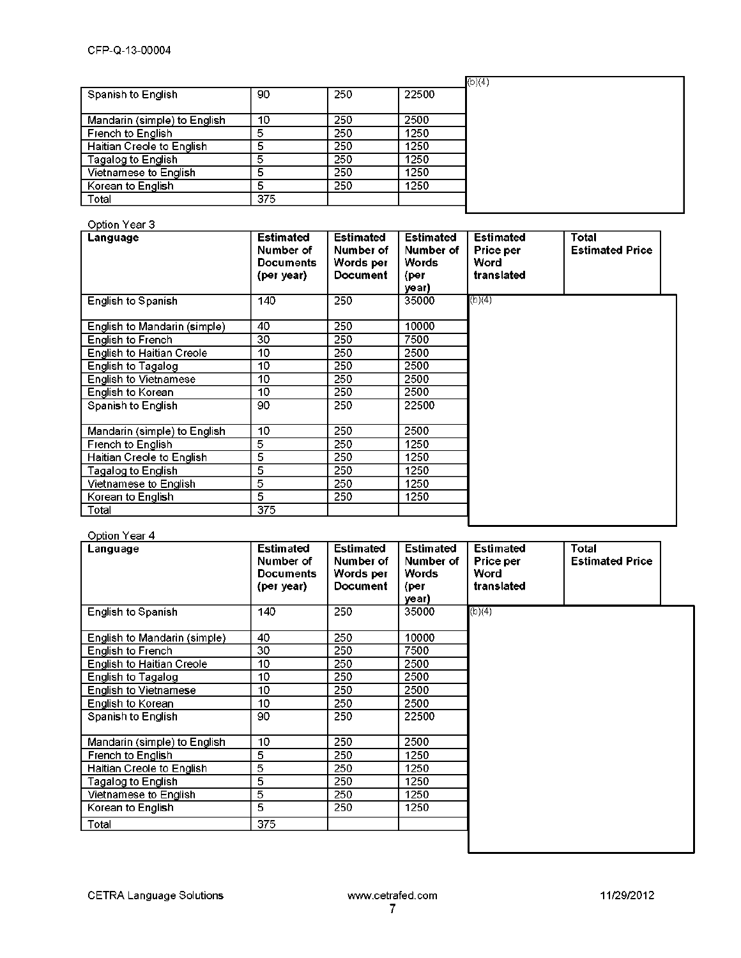|                              |     |     |       | (b)(4) |
|------------------------------|-----|-----|-------|--------|
| Spanish to English           | 90  | 250 | 22500 |        |
|                              |     |     |       |        |
| Mandarin (simple) to English | 10  | 250 | 2500  |        |
| French to English            | 5   | 250 | 1250  |        |
| Haitian Creole to English    |     | 250 | 1250  |        |
| Tagalog to English           | 5   | 250 | 1250  |        |
| Vietnamese to English        | 5   | 250 | 1250  |        |
| Korean to English            | 5   | 250 | 1250  |        |
| Total                        | 375 |     |       |        |

## Option Year 3

| Language                         | <b>Estimated</b><br>Number of<br><b>Documents</b><br>(per year) | <b>Estimated</b><br>Number of<br>Words per<br><b>Document</b> | <b>Estimated</b><br>Number of<br>Words<br>(per<br>year) | <b>Estimated</b><br>Price per<br>Word<br>translated | Total<br><b>Estimated Price</b> |
|----------------------------------|-----------------------------------------------------------------|---------------------------------------------------------------|---------------------------------------------------------|-----------------------------------------------------|---------------------------------|
| English to Spanish               | 140                                                             | 250                                                           | 35000                                                   | (b)(4)                                              |                                 |
| English to Mandarin (simple)     | 40                                                              | 250                                                           | 10000                                                   |                                                     |                                 |
| English to French                | 30                                                              | 250                                                           | 7500                                                    |                                                     |                                 |
| <b>English to Haitian Creole</b> | 10                                                              | 250                                                           | 2500                                                    |                                                     |                                 |
| English to Tagalog               | 10                                                              | 250                                                           | 2500                                                    |                                                     |                                 |
| English to Vietnamese            | 10                                                              | 250                                                           | 2500                                                    |                                                     |                                 |
| English to Korean                | 10                                                              | 250                                                           | 2500                                                    |                                                     |                                 |
| Spanish to English               | 90                                                              | 250                                                           | 22500                                                   |                                                     |                                 |
| Mandarin (simple) to English     | 10                                                              | 250                                                           | 2500                                                    |                                                     |                                 |
| French to English                | 5                                                               | 250                                                           | 1250                                                    |                                                     |                                 |
| Haitian Creole to English.       | 5                                                               | 250                                                           | 1250                                                    |                                                     |                                 |
| Tagalog to English I             | 5                                                               | 250                                                           | 1250                                                    |                                                     |                                 |
| Vietnamese to English            | 5                                                               | 250                                                           | 1250                                                    |                                                     |                                 |
| Korean to English                | 5                                                               | 250                                                           | 1250                                                    |                                                     |                                 |
| Total                            | 375                                                             |                                                               |                                                         |                                                     |                                 |

## Option Year 4

| -----------<br>Language          | <b>Estimated</b><br>Number of<br><b>Documents</b><br>(per year) | <b>Estimated</b><br>Number of<br>Words per<br><b>Document</b> | <b>Estimated</b><br>Number of<br><b>Words</b><br>(per<br>year) | <b>Estimated</b><br>Price per<br>Word<br>translated | Total<br><b>Estimated Price</b> |
|----------------------------------|-----------------------------------------------------------------|---------------------------------------------------------------|----------------------------------------------------------------|-----------------------------------------------------|---------------------------------|
| English to Spanish               | 140                                                             | 250                                                           | 35000                                                          | (b)(4)                                              |                                 |
| English to Mandarin (simple)     | 40                                                              | 250                                                           | 10000                                                          |                                                     |                                 |
| English to French                | 30                                                              | 250                                                           | 7500                                                           |                                                     |                                 |
| <b>English to Haitian Creole</b> | 10                                                              | 250                                                           | 2500                                                           |                                                     |                                 |
| English to Tagalog               | 10                                                              | 250                                                           | 2500                                                           |                                                     |                                 |
| <b>English to Vietnamese</b>     | 10                                                              | 250                                                           | 2500                                                           |                                                     |                                 |
| English to Korean                | 10                                                              | 250                                                           | 2500                                                           |                                                     |                                 |
| Spanish to English               | 90                                                              | 250                                                           | 22500                                                          |                                                     |                                 |
| Mandarin (simple) to English     | 10                                                              | 250                                                           | 2500                                                           |                                                     |                                 |
| French to English                | 5                                                               | 250                                                           | 1250                                                           |                                                     |                                 |
| Haitian Creole to English        | 5                                                               | 250                                                           | 1250                                                           |                                                     |                                 |
| Tagalog to English l             | 5                                                               | 250                                                           | 1250                                                           |                                                     |                                 |
| Vietnamese to English            | 5                                                               | 250                                                           | 1250                                                           |                                                     |                                 |
| Korean to English                | 5                                                               | 250                                                           | 1250                                                           |                                                     |                                 |
| Total                            | 375                                                             |                                                               |                                                                |                                                     |                                 |
|                                  |                                                                 |                                                               |                                                                |                                                     |                                 |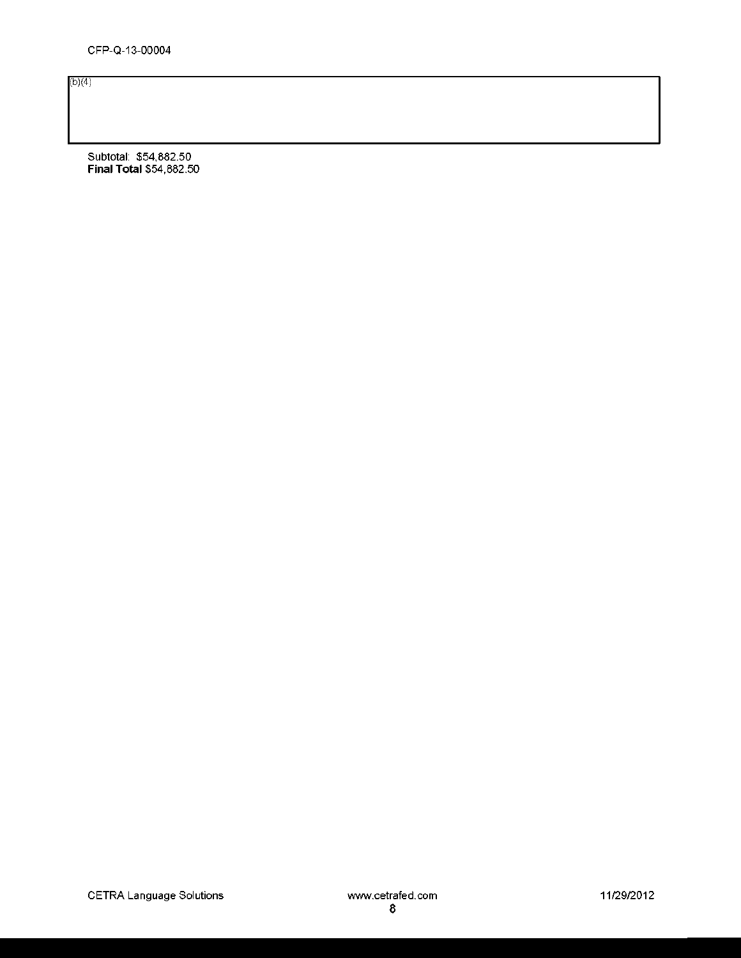(b)(4)

Subtotal: \$54,882.50 Final Total \$54,882.50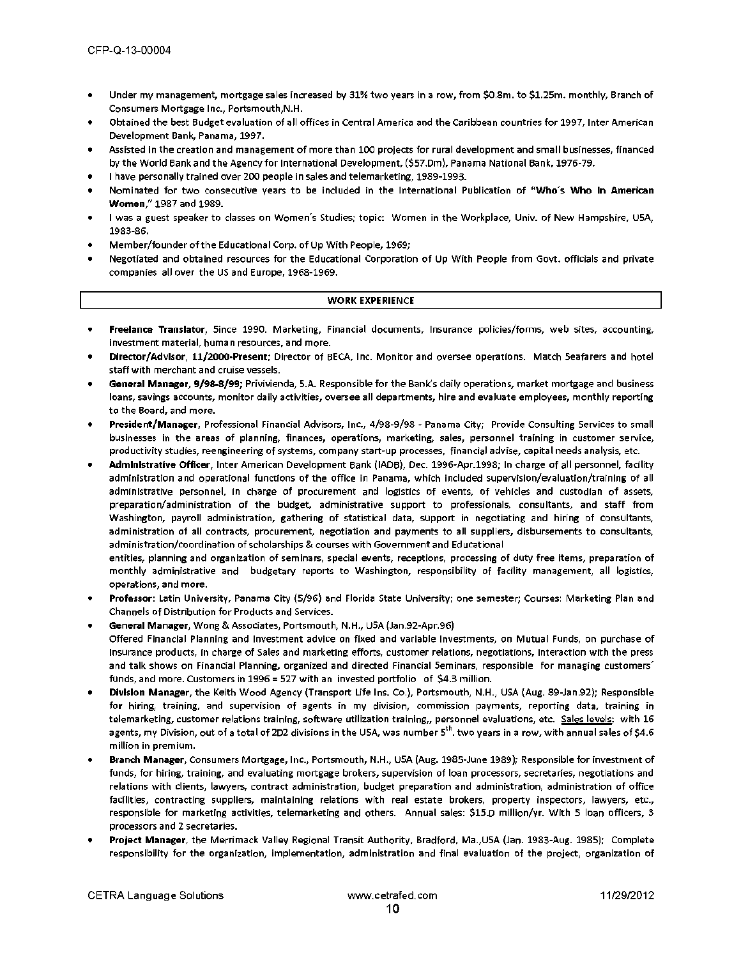- Under my management, mortgage sales increased by 31% two years in a row, from \$0.3m. to \$1.25m. monthly, Branch of Consumers Mortgage Inc., Portsmouth,N.H.
- Obtained the best Budget evaluation of all offices in Central America and the Caribbean countries for 1997, Inter American Development Bank, Panama, 1997.
- Assisted in the creation and management of more than 100 projects for rural development and small businesses, financed by the World Bank and the Agency for International Development, (\$57.0m), Panama National Bank, 1976-79.
- I have personally trained over 200 people in sales and telemarketing, 1989-1993.
- Nominated for two consecutive years to be included in the International Publication of **"Who's Who In American Women,"** 1987 and 1989.
- I was a guest speaker to classes on Women's Studies; topic: Women in the Workplace, Univ. of New Hampshire, USA, 1983-86.
- Member/founder of the Educational Corp. of Up With People, 1969;
- Negotiated and obtained resources for the Educational Corporation of Up With People from Govt. officials and private companies all over the US and Europe, 1968-1969,

#### **WORK EXPERIENCE**

- **Freelance Translator,** Since 1990. Marketing, Financial documents, Insurance policies/forms, web sites, accounting, investment material, human resources, and more.
- **Director/Advisor, 11/2000-Present;** Director of BECA, Inc. Monitor and oversee operations. Match Seafarers and hotel staff with merchant and cruise vessels.
- **General Manager, 9/98-8/99;** Privivienda, S.A. Responsible for the Bank's daily operations, market mortgage and business loans, savings accounts, monitor daily activities, oversee all departments, hire and evaluate employees, monthly reporting to the Board, and more.
- **President/Manager,** Professional Financial Advisors, Inc., 4/98-9/93 Panama City; Provide Consulting Services to small businesses in the areas of planning, finances, operations, marketing, sales, personnel training in customer service, productivity studies, reengineering of systems, company start-up processes, financial advise, capital needs analysis, etc.
- **Administrative Officer,** Inter American Development Bank (IADB), Dec. 1996-Apr.1998; In charge of all personnel, facility administration and operational functions of the office in Panama, which included supervision/evaluation/training of all administrative personnel, in charge of procurement and logistics of events, of vehicles and custodian of assets, preparation/administration of the budget, administrative support to professionals, consultants, and staff from Washington, payroll administration, gathering of statistical data, support in negotiating and hiring of consultants, administration of all contracts, procurement, negotiation and payments to all suppliers, disbursements to consultants, administration/coordination of scholarships & courses with Government and Educational

entities, planning and organization of seminars, special events, receptions, processing of duty free items, preparation of monthly administrative and budgetary reports to Washington, responsibility of facility management, all logistics, operations, and more.

- **Professor:** Latin University, Panama City (5/96) and Florida State University; one semester; Courses: Marketing Plan and Channels of Distribution for Products and Services.
- **General Manager,** Wong & Associates, Portsmouth, N.H., USA (Jan.92-Apr.96) Offered Financial Planning and Investment advice on fixed and variable Investments, on Mutual Funds, on purchase of Insurance products, in charge of Sales and marketing efforts, customer relations, negotiations, interaction with the press and talk shows on Financial Planning, organized and directed Financial Seminars, responsible for managing customers' funds, and more. Customers in 1996 = 527 with an invested portfolio of \$4.3 million.
- **Division Manager,** the Keith Wood Agency (Transport Life Ins. Co.), Portsmouth, N.H., USA (Aug. 89-Jan.92); Responsible for hiring, training, and supervision of agents in my division, commission payments, reporting data, training in telemarketing, customer relations training, software utilization training,, personnel evaluations, etc. Sales levels: with 16 agents, my Division, out of a total of 2D2 divisions in the USA, was number 5<sup>th</sup>. two years in a row, with annual sales of \$4.6 million in premium.
- **Branch Manager,** Consumers Mortgage, Inc., Portsmouth, N.H., USA (Aug. 1985-June 1989); Responsible for investment of funds, for hiring, training, and evaluating mortgage brokers, supervision of loan processors, secretaries, negotiations and relations with clients, lawyers, contract administration, budget preparation and administration, administration of office facilities, contracting suppliers, maintaining relations with real estate brokers, property inspectors, lawyers, etc., responsible for marketing activities, telemarketing and others. Annual sales: \$15.0 million/yr. With 5 loan officers, 3 processors and 2 secretaries.
- **Project Manager,** the Merrimack Valley Regional Transit Authority, Bradford, Ma.,USA (Jan. 1983-Aug. complete responsibility for the organization, implementation, administration and final evaluation of the project, organization of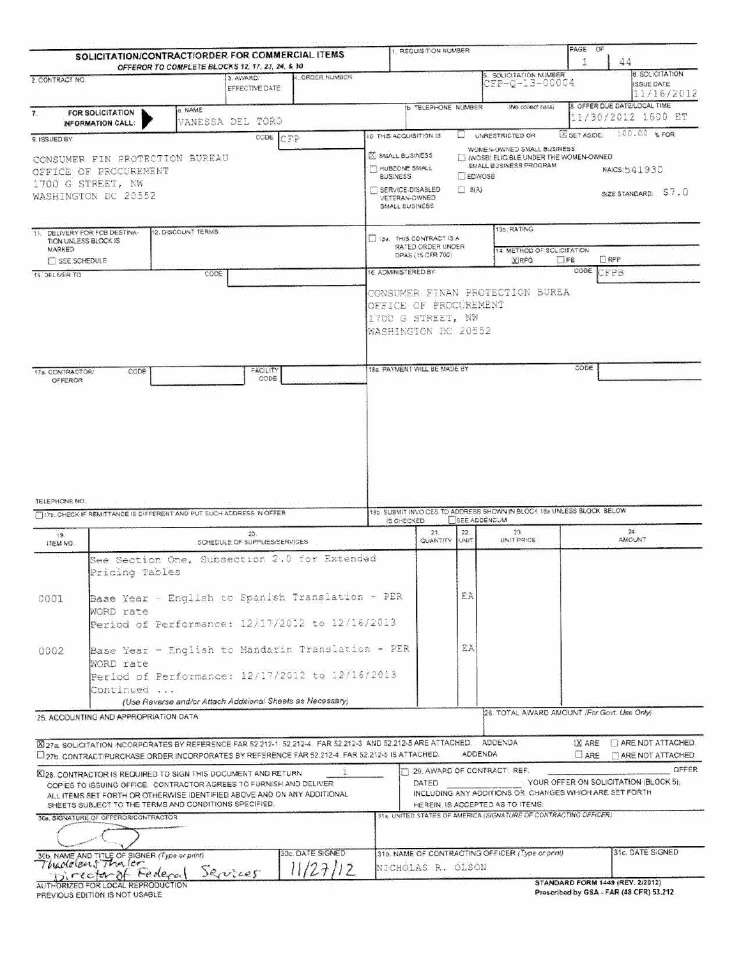| OFFEROR TO COMPLETE BLOCKS 12, 17, 23, 24, & 30<br>SOLICITATION NUMBER<br>4. ORDER NUMBER<br>3. AWARD:<br>2. CONTRACT NO.<br>0FP-0-13-00004<br>EFFECTIVE DATE<br>8. OFFER DUE DATE/LOCAL TIME<br><b>b TELEPHONE NUMBER</b><br>(No collect calls)<br>a. NAME<br><b>FOR SOLICITATION</b><br>7.<br>11/30/2012 1600 ET<br>VANESSA DEL TORO<br>INFORMATION CALL:<br>SET ASIDE<br>10. THIS ACQUISITION IS<br><b>UNRESTRICTED OR</b><br>U<br>cone CEP<br>9. ISSUED BY<br>WOMEN-OWNED SMALL BUSINESS<br><b>X SMALL BUSINESS</b><br>WOSB: ELIGIBLE UNDER THE WOMEN-OWNED<br>CONSUMER FIN PROTECTION BUREAU<br>SMALL BUSINESS PROGRAM<br>HUBZONE SMALL<br>NAICS: 541930<br>OFFICE OF PROCUREMENT<br>EDWOSS<br><b>BUSINESS</b><br>1700 G STREET, NW<br>SERVICE-DISABLED<br>$\Box$ $B(A)$<br>WASHINGTON DC 20552<br>VETERAN-OWNED<br>SMALL BUSINESS<br>13b. RATING<br>12. DISCOUNT TERMS<br>11. DELIVERY FOR FOB DESTINA-<br>13a: THIS CONTRACT IS A<br>TION UNLESS BLOCK IS.<br>RATED ORDER UNDER<br>MARKED<br>14. METHOD OF SOLICITATION.<br>DPAS (15 CFR 700)<br><b>DRFP</b><br><b>X</b> RFQ<br><b>DIFE</b><br><b>FT SEE SCHEDULE</b><br><b>CODE</b><br>CFPB<br>16. ADMINISTERED BY<br>CODE<br>15. DELIVER TO<br>CONSUMER FINAN PROTECTION BUREA<br>OFFICE OF PROCUREMENT<br>1700 G STREET, NW<br>WASHINGTON DC 20552<br>CODE<br>18a. PAYMENT WILL BE MADE BY<br>FACILITY<br>CODE<br>17a. CONTRACTOR/<br>CODE<br><b>OFFEROR</b><br>TELEPHONE NO.<br>18b SUBMIT INVOICES TO ADDRESS SHOWN IN BLOCK 18a UNLESS BLOCK BELOW<br>TITE, CHECK IF REMITTANCE IS DIFFERENT AND PUT SUCH ADDRESS IN OFFER<br><b>ISEE ADDENOUM</b><br>IS CHECKED<br>24.<br>21.<br>22.<br>23.<br>25.<br>19.<br><b>AMOUNT</b><br>UNIT PRICE<br><b>QUANTITY</b><br>UNIT<br>SCHEDULE OF SUPPLIES/SERVICES<br>ITEM NO.<br>See Section One, Subsection 2.0 for Extended<br>Pricing Tables<br>EA.<br>Base Year - English to Spanish Translation - PER<br>0001<br>WORD rate<br>Period of Performance: 12/17/2012 to 12/16/2013<br>EA<br>Base Year - English to Mandarin Translation - PER<br>0002<br>WORD rate<br>Period of Performance: 12/17/2012 to 12/16/2013<br>Continued<br>(Use Reverse and/or Attach Additional Sheets as Necessary)<br>26. TOTAL AWARD AMOUNT (For Govt. Use Only)<br>25. ACCOUNTING AND APPROPRIATION DATA<br>27a, SOLICITATION INCORPORATES BY REFERENCE FAR 52 212-1 S2 212-4. FAR 52 212-3. AND 52 212-5 ARE ATTACHED. ADDENDA<br>$X$ ARE<br>ADDENDA<br>127b, CONTRACT/PURCHASE ORDER INCORPORATES BY REFERENCE FAR 52.212-4. FAR 52.212-5 IS ATTACHED.<br>$\Box$ ARE<br>29. AWARD OF CONTRACT: REF.<br>XI28, CONTRACTOR IS REQUIRED TO SIGN THIS DOCUMENT AND RETURN<br>YOUR OFFER ON SOLICITATION (BLOCK 5),<br>DATED<br>COPIES TO ISSUING OFFICE. CONTRACTOR AGREES TO FURNISH AND DELIVER<br>INCLUDING ANY ADDITIONS OR CHANGES WHICH ARE SET FORTH<br>ALL ITEMS SET FORTH OR OTHERWISE IDENTIFIED ABOVE AND ON ANY ADDITIONAL<br>SHEETS SUBJECT TO THE TERMS AND CONDITIONS SPECIFIED.<br>HEREIN, IS ACCEPTED AS TO ITEMS. | SOLICITATION/CONTRACT/ORDER FOR COMMERCIAL ITEMS |  |  | 1. REQUISITION NUMBER |  | PAGE OF | 44                                                        |
|-------------------------------------------------------------------------------------------------------------------------------------------------------------------------------------------------------------------------------------------------------------------------------------------------------------------------------------------------------------------------------------------------------------------------------------------------------------------------------------------------------------------------------------------------------------------------------------------------------------------------------------------------------------------------------------------------------------------------------------------------------------------------------------------------------------------------------------------------------------------------------------------------------------------------------------------------------------------------------------------------------------------------------------------------------------------------------------------------------------------------------------------------------------------------------------------------------------------------------------------------------------------------------------------------------------------------------------------------------------------------------------------------------------------------------------------------------------------------------------------------------------------------------------------------------------------------------------------------------------------------------------------------------------------------------------------------------------------------------------------------------------------------------------------------------------------------------------------------------------------------------------------------------------------------------------------------------------------------------------------------------------------------------------------------------------------------------------------------------------------------------------------------------------------------------------------------------------------------------------------------------------------------------------------------------------------------------------------------------------------------------------------------------------------------------------------------------------------------------------------------------------------------------------------------------------------------------------------------------------------------------------------------------------------------------------------------------------------------------------------------------------------------------------------------------------------------------------------------------------------------------------------------------------------------------------------------------------------------------------------------------------------|--------------------------------------------------|--|--|-----------------------|--|---------|-----------------------------------------------------------|
|                                                                                                                                                                                                                                                                                                                                                                                                                                                                                                                                                                                                                                                                                                                                                                                                                                                                                                                                                                                                                                                                                                                                                                                                                                                                                                                                                                                                                                                                                                                                                                                                                                                                                                                                                                                                                                                                                                                                                                                                                                                                                                                                                                                                                                                                                                                                                                                                                                                                                                                                                                                                                                                                                                                                                                                                                                                                                                                                                                                                                   |                                                  |  |  |                       |  |         | <b>6. SOLICITATION</b><br><b>ISSUE DATE</b><br>11/16/2012 |
|                                                                                                                                                                                                                                                                                                                                                                                                                                                                                                                                                                                                                                                                                                                                                                                                                                                                                                                                                                                                                                                                                                                                                                                                                                                                                                                                                                                                                                                                                                                                                                                                                                                                                                                                                                                                                                                                                                                                                                                                                                                                                                                                                                                                                                                                                                                                                                                                                                                                                                                                                                                                                                                                                                                                                                                                                                                                                                                                                                                                                   |                                                  |  |  |                       |  |         |                                                           |
|                                                                                                                                                                                                                                                                                                                                                                                                                                                                                                                                                                                                                                                                                                                                                                                                                                                                                                                                                                                                                                                                                                                                                                                                                                                                                                                                                                                                                                                                                                                                                                                                                                                                                                                                                                                                                                                                                                                                                                                                                                                                                                                                                                                                                                                                                                                                                                                                                                                                                                                                                                                                                                                                                                                                                                                                                                                                                                                                                                                                                   |                                                  |  |  |                       |  |         | 100.00 %FOR                                               |
|                                                                                                                                                                                                                                                                                                                                                                                                                                                                                                                                                                                                                                                                                                                                                                                                                                                                                                                                                                                                                                                                                                                                                                                                                                                                                                                                                                                                                                                                                                                                                                                                                                                                                                                                                                                                                                                                                                                                                                                                                                                                                                                                                                                                                                                                                                                                                                                                                                                                                                                                                                                                                                                                                                                                                                                                                                                                                                                                                                                                                   |                                                  |  |  |                       |  |         | SIZE STANDARD: S7.0                                       |
|                                                                                                                                                                                                                                                                                                                                                                                                                                                                                                                                                                                                                                                                                                                                                                                                                                                                                                                                                                                                                                                                                                                                                                                                                                                                                                                                                                                                                                                                                                                                                                                                                                                                                                                                                                                                                                                                                                                                                                                                                                                                                                                                                                                                                                                                                                                                                                                                                                                                                                                                                                                                                                                                                                                                                                                                                                                                                                                                                                                                                   |                                                  |  |  |                       |  |         |                                                           |
|                                                                                                                                                                                                                                                                                                                                                                                                                                                                                                                                                                                                                                                                                                                                                                                                                                                                                                                                                                                                                                                                                                                                                                                                                                                                                                                                                                                                                                                                                                                                                                                                                                                                                                                                                                                                                                                                                                                                                                                                                                                                                                                                                                                                                                                                                                                                                                                                                                                                                                                                                                                                                                                                                                                                                                                                                                                                                                                                                                                                                   |                                                  |  |  |                       |  |         |                                                           |
|                                                                                                                                                                                                                                                                                                                                                                                                                                                                                                                                                                                                                                                                                                                                                                                                                                                                                                                                                                                                                                                                                                                                                                                                                                                                                                                                                                                                                                                                                                                                                                                                                                                                                                                                                                                                                                                                                                                                                                                                                                                                                                                                                                                                                                                                                                                                                                                                                                                                                                                                                                                                                                                                                                                                                                                                                                                                                                                                                                                                                   |                                                  |  |  |                       |  |         |                                                           |
|                                                                                                                                                                                                                                                                                                                                                                                                                                                                                                                                                                                                                                                                                                                                                                                                                                                                                                                                                                                                                                                                                                                                                                                                                                                                                                                                                                                                                                                                                                                                                                                                                                                                                                                                                                                                                                                                                                                                                                                                                                                                                                                                                                                                                                                                                                                                                                                                                                                                                                                                                                                                                                                                                                                                                                                                                                                                                                                                                                                                                   |                                                  |  |  |                       |  |         |                                                           |
|                                                                                                                                                                                                                                                                                                                                                                                                                                                                                                                                                                                                                                                                                                                                                                                                                                                                                                                                                                                                                                                                                                                                                                                                                                                                                                                                                                                                                                                                                                                                                                                                                                                                                                                                                                                                                                                                                                                                                                                                                                                                                                                                                                                                                                                                                                                                                                                                                                                                                                                                                                                                                                                                                                                                                                                                                                                                                                                                                                                                                   |                                                  |  |  |                       |  |         |                                                           |
|                                                                                                                                                                                                                                                                                                                                                                                                                                                                                                                                                                                                                                                                                                                                                                                                                                                                                                                                                                                                                                                                                                                                                                                                                                                                                                                                                                                                                                                                                                                                                                                                                                                                                                                                                                                                                                                                                                                                                                                                                                                                                                                                                                                                                                                                                                                                                                                                                                                                                                                                                                                                                                                                                                                                                                                                                                                                                                                                                                                                                   |                                                  |  |  |                       |  |         |                                                           |
|                                                                                                                                                                                                                                                                                                                                                                                                                                                                                                                                                                                                                                                                                                                                                                                                                                                                                                                                                                                                                                                                                                                                                                                                                                                                                                                                                                                                                                                                                                                                                                                                                                                                                                                                                                                                                                                                                                                                                                                                                                                                                                                                                                                                                                                                                                                                                                                                                                                                                                                                                                                                                                                                                                                                                                                                                                                                                                                                                                                                                   |                                                  |  |  |                       |  |         |                                                           |
|                                                                                                                                                                                                                                                                                                                                                                                                                                                                                                                                                                                                                                                                                                                                                                                                                                                                                                                                                                                                                                                                                                                                                                                                                                                                                                                                                                                                                                                                                                                                                                                                                                                                                                                                                                                                                                                                                                                                                                                                                                                                                                                                                                                                                                                                                                                                                                                                                                                                                                                                                                                                                                                                                                                                                                                                                                                                                                                                                                                                                   |                                                  |  |  |                       |  |         |                                                           |
|                                                                                                                                                                                                                                                                                                                                                                                                                                                                                                                                                                                                                                                                                                                                                                                                                                                                                                                                                                                                                                                                                                                                                                                                                                                                                                                                                                                                                                                                                                                                                                                                                                                                                                                                                                                                                                                                                                                                                                                                                                                                                                                                                                                                                                                                                                                                                                                                                                                                                                                                                                                                                                                                                                                                                                                                                                                                                                                                                                                                                   |                                                  |  |  |                       |  |         |                                                           |
|                                                                                                                                                                                                                                                                                                                                                                                                                                                                                                                                                                                                                                                                                                                                                                                                                                                                                                                                                                                                                                                                                                                                                                                                                                                                                                                                                                                                                                                                                                                                                                                                                                                                                                                                                                                                                                                                                                                                                                                                                                                                                                                                                                                                                                                                                                                                                                                                                                                                                                                                                                                                                                                                                                                                                                                                                                                                                                                                                                                                                   |                                                  |  |  |                       |  |         |                                                           |
|                                                                                                                                                                                                                                                                                                                                                                                                                                                                                                                                                                                                                                                                                                                                                                                                                                                                                                                                                                                                                                                                                                                                                                                                                                                                                                                                                                                                                                                                                                                                                                                                                                                                                                                                                                                                                                                                                                                                                                                                                                                                                                                                                                                                                                                                                                                                                                                                                                                                                                                                                                                                                                                                                                                                                                                                                                                                                                                                                                                                                   |                                                  |  |  |                       |  |         |                                                           |
|                                                                                                                                                                                                                                                                                                                                                                                                                                                                                                                                                                                                                                                                                                                                                                                                                                                                                                                                                                                                                                                                                                                                                                                                                                                                                                                                                                                                                                                                                                                                                                                                                                                                                                                                                                                                                                                                                                                                                                                                                                                                                                                                                                                                                                                                                                                                                                                                                                                                                                                                                                                                                                                                                                                                                                                                                                                                                                                                                                                                                   |                                                  |  |  |                       |  |         |                                                           |
|                                                                                                                                                                                                                                                                                                                                                                                                                                                                                                                                                                                                                                                                                                                                                                                                                                                                                                                                                                                                                                                                                                                                                                                                                                                                                                                                                                                                                                                                                                                                                                                                                                                                                                                                                                                                                                                                                                                                                                                                                                                                                                                                                                                                                                                                                                                                                                                                                                                                                                                                                                                                                                                                                                                                                                                                                                                                                                                                                                                                                   |                                                  |  |  |                       |  |         | ARE NOT ATTACHED.                                         |
|                                                                                                                                                                                                                                                                                                                                                                                                                                                                                                                                                                                                                                                                                                                                                                                                                                                                                                                                                                                                                                                                                                                                                                                                                                                                                                                                                                                                                                                                                                                                                                                                                                                                                                                                                                                                                                                                                                                                                                                                                                                                                                                                                                                                                                                                                                                                                                                                                                                                                                                                                                                                                                                                                                                                                                                                                                                                                                                                                                                                                   |                                                  |  |  |                       |  |         | <b>TARE NOT ATTACHED.</b>                                 |
| 31a, UNITED STATES OF AMERICA (SIGNATURE OF CONTRACTING OFFICER)<br>30a. SIGNATURE OF OFFEROR/CONTRACTOR                                                                                                                                                                                                                                                                                                                                                                                                                                                                                                                                                                                                                                                                                                                                                                                                                                                                                                                                                                                                                                                                                                                                                                                                                                                                                                                                                                                                                                                                                                                                                                                                                                                                                                                                                                                                                                                                                                                                                                                                                                                                                                                                                                                                                                                                                                                                                                                                                                                                                                                                                                                                                                                                                                                                                                                                                                                                                                          |                                                  |  |  |                       |  |         | OFFER                                                     |
|                                                                                                                                                                                                                                                                                                                                                                                                                                                                                                                                                                                                                                                                                                                                                                                                                                                                                                                                                                                                                                                                                                                                                                                                                                                                                                                                                                                                                                                                                                                                                                                                                                                                                                                                                                                                                                                                                                                                                                                                                                                                                                                                                                                                                                                                                                                                                                                                                                                                                                                                                                                                                                                                                                                                                                                                                                                                                                                                                                                                                   |                                                  |  |  |                       |  |         |                                                           |
| 30c. DATE SIGNED<br>31b. NAME OF CONTRACTING OFFICER (Type or print)                                                                                                                                                                                                                                                                                                                                                                                                                                                                                                                                                                                                                                                                                                                                                                                                                                                                                                                                                                                                                                                                                                                                                                                                                                                                                                                                                                                                                                                                                                                                                                                                                                                                                                                                                                                                                                                                                                                                                                                                                                                                                                                                                                                                                                                                                                                                                                                                                                                                                                                                                                                                                                                                                                                                                                                                                                                                                                                                              |                                                  |  |  |                       |  |         | 31c. DATE SIGNED                                          |
| 306, NAME AND TITLE OF SIGNER (Type or print)<br>127112<br>NICHOLAS R. OLSON<br>Services<br>Director of Federal                                                                                                                                                                                                                                                                                                                                                                                                                                                                                                                                                                                                                                                                                                                                                                                                                                                                                                                                                                                                                                                                                                                                                                                                                                                                                                                                                                                                                                                                                                                                                                                                                                                                                                                                                                                                                                                                                                                                                                                                                                                                                                                                                                                                                                                                                                                                                                                                                                                                                                                                                                                                                                                                                                                                                                                                                                                                                                   |                                                  |  |  |                       |  |         |                                                           |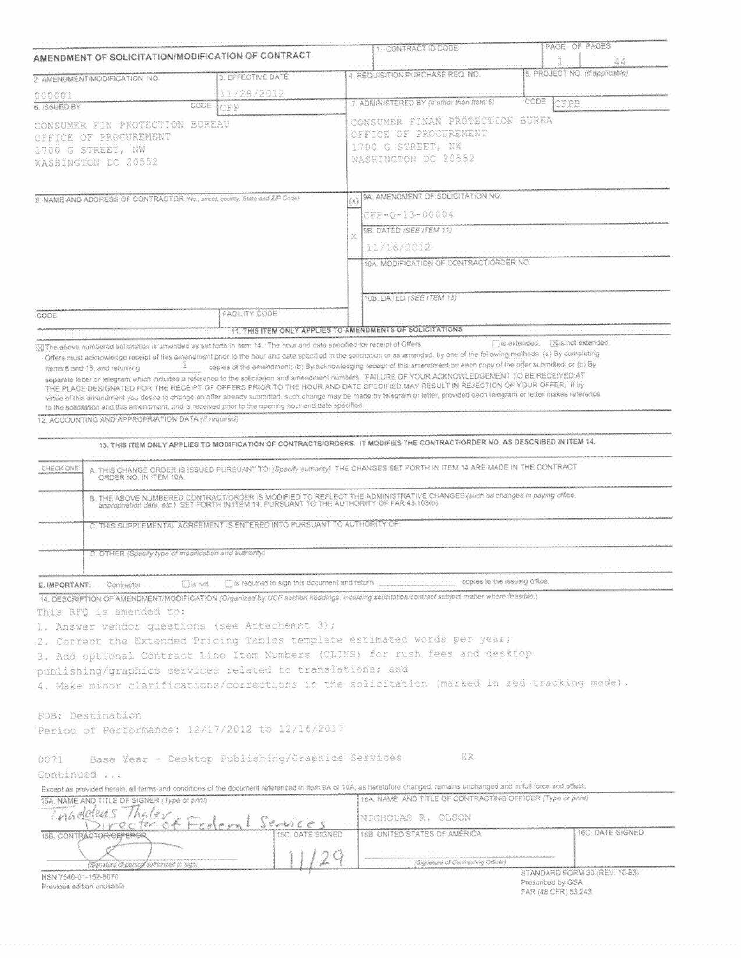| AMENDMENT OF SOLICITATION/MODIFICATION OF CONTRACT<br>2 AMENOMENT/MODIFICATION NO.<br>000001<br>CODE<br>6. ISSUED BY<br>CONSUMER FIN PROTECTION BUREAU<br>OFFICE OF PROCUREMENT<br>1700 G STREET, NW                                                                                                                                                                                                                                                                                                                                                                                                                               | 3. EFFECTIVE DATE<br>11/28/2012                                          |    |                                                                                                                                                                                                                          |                                          |                                      |
|------------------------------------------------------------------------------------------------------------------------------------------------------------------------------------------------------------------------------------------------------------------------------------------------------------------------------------------------------------------------------------------------------------------------------------------------------------------------------------------------------------------------------------------------------------------------------------------------------------------------------------|--------------------------------------------------------------------------|----|--------------------------------------------------------------------------------------------------------------------------------------------------------------------------------------------------------------------------|------------------------------------------|--------------------------------------|
|                                                                                                                                                                                                                                                                                                                                                                                                                                                                                                                                                                                                                                    |                                                                          |    | 4. REQUISITION:PURCHASE REQ. NO.                                                                                                                                                                                         |                                          | 近る<br>5. PROJECT NO. (If applicable) |
|                                                                                                                                                                                                                                                                                                                                                                                                                                                                                                                                                                                                                                    |                                                                          |    |                                                                                                                                                                                                                          |                                          |                                      |
|                                                                                                                                                                                                                                                                                                                                                                                                                                                                                                                                                                                                                                    |                                                                          |    | 7. ADMINISTERED BY (if other than item 6)                                                                                                                                                                                | CODE<br>CFPB                             |                                      |
|                                                                                                                                                                                                                                                                                                                                                                                                                                                                                                                                                                                                                                    | CEP                                                                      |    |                                                                                                                                                                                                                          |                                          |                                      |
| WASHINGTON DC 20552                                                                                                                                                                                                                                                                                                                                                                                                                                                                                                                                                                                                                |                                                                          |    | CONSUMER FINAN PROTECIION BUREA<br>OFFICE OF PROGUREMENT<br>1700 G STREET, NH<br>MASHINGTON DC 20552                                                                                                                     |                                          |                                      |
| B. NAME AND ADDRESS OF CONTRACTOR (No., street, county, State and ZIP-Code)                                                                                                                                                                                                                                                                                                                                                                                                                                                                                                                                                        |                                                                          | Xì | 9A. AMENOMENT OF SOLICITATION NO.                                                                                                                                                                                        |                                          |                                      |
|                                                                                                                                                                                                                                                                                                                                                                                                                                                                                                                                                                                                                                    |                                                                          |    | CFE-0-13-00004                                                                                                                                                                                                           |                                          |                                      |
|                                                                                                                                                                                                                                                                                                                                                                                                                                                                                                                                                                                                                                    |                                                                          |    | 9B. DATED (SEE) FEM 11)                                                                                                                                                                                                  |                                          |                                      |
|                                                                                                                                                                                                                                                                                                                                                                                                                                                                                                                                                                                                                                    |                                                                          | X  |                                                                                                                                                                                                                          |                                          |                                      |
|                                                                                                                                                                                                                                                                                                                                                                                                                                                                                                                                                                                                                                    |                                                                          |    | 11/16/2012                                                                                                                                                                                                               |                                          |                                      |
|                                                                                                                                                                                                                                                                                                                                                                                                                                                                                                                                                                                                                                    |                                                                          |    | 10A. MODIFICATION OF CONTRACTIORDER NO.                                                                                                                                                                                  |                                          |                                      |
|                                                                                                                                                                                                                                                                                                                                                                                                                                                                                                                                                                                                                                    |                                                                          |    | 10BL DATED (SEE ITEM 13)                                                                                                                                                                                                 |                                          |                                      |
| CODE                                                                                                                                                                                                                                                                                                                                                                                                                                                                                                                                                                                                                               | FACILITY CODE                                                            |    |                                                                                                                                                                                                                          |                                          |                                      |
| XI The above numbered solicitation is amended as set forth in item 14. The hour and date specified for receipt of Offers.                                                                                                                                                                                                                                                                                                                                                                                                                                                                                                          | 11. THIS ITEM ONLY APPLIES TO AMENDMENTS OF SOLICITATIONS                |    |                                                                                                                                                                                                                          | <b>Sextended</b>                         | TXis not extended                    |
| separate letter or telegram which includes a reference to the solicitation and amendment numbers. FAILURE OF YOUR ACKNOWLEDGEMENT TO BE RECEIVED AT<br>THE PLACE DESIGNATED FOR THE RECEPT OF OFFERS PRIOR TO THE HOUR AND DATE SPECIFIED MAY RESULT IN REJECTION OF YOUR OFFER. If by<br>virtue of this amendment you desire to change an offer already submitted, such change may be made by telegram or letter, provided each telegram or letter makes reference<br>to the solicitation and this amenoment, and is received prior to the opening hour and date specified<br>12. ACCOUNTING AND APPROPRIATION DATA (if required) |                                                                          |    |                                                                                                                                                                                                                          |                                          |                                      |
|                                                                                                                                                                                                                                                                                                                                                                                                                                                                                                                                                                                                                                    |                                                                          |    | 13. THIS ITEM ONLY APPLIES TO MODIFICATION OF CONTRACTS/ORDERS. IT MODIFIES THE CONTRACT/ORDER NO. AS DESCRIBED IN ITEM 14.                                                                                              |                                          |                                      |
| CHECK ONE                                                                                                                                                                                                                                                                                                                                                                                                                                                                                                                                                                                                                          |                                                                          |    | A. THIS CHANGE ORDER IS ISSUED PURSUANT TO: (Specify surfairty) THE CHANGES SET FORTH IN ITEM 14 ARE MADE IN THE CONTRACT                                                                                                |                                          |                                      |
| ORDER NO. IN TEM 10A.                                                                                                                                                                                                                                                                                                                                                                                                                                                                                                                                                                                                              |                                                                          |    |                                                                                                                                                                                                                          |                                          |                                      |
|                                                                                                                                                                                                                                                                                                                                                                                                                                                                                                                                                                                                                                    |                                                                          |    | B. THE ABOVE NUMBERED CONTRACTIORDER IS MODIFIED TO REFLECT THE ADMINISTRATIVE CHANGES (such as changes in paying office,<br>appropriation date, etc.) SET FORTH IN ITEM 14, PURSUANT TO THE AUTHORITY OF FAR 43.103(b). |                                          |                                      |
|                                                                                                                                                                                                                                                                                                                                                                                                                                                                                                                                                                                                                                    | C. THIS SUPPLEMENTAL AGREEMENT IS ENTERED INTO PURSUANT TO AUTHORITY OF: |    |                                                                                                                                                                                                                          |                                          |                                      |
| D. OTHER (Specify type of modification and authority)                                                                                                                                                                                                                                                                                                                                                                                                                                                                                                                                                                              |                                                                          |    |                                                                                                                                                                                                                          |                                          |                                      |
|                                                                                                                                                                                                                                                                                                                                                                                                                                                                                                                                                                                                                                    |                                                                          |    |                                                                                                                                                                                                                          | copies to the issuing office.            |                                      |
| Elis not<br>E. IMPORTANT.<br>Contractor                                                                                                                                                                                                                                                                                                                                                                                                                                                                                                                                                                                            | [7] is required to sign this document and return                         |    |                                                                                                                                                                                                                          |                                          |                                      |
| 14. DESCRIPTION OF AMENDMENT/MODIFICATION (Organized by UCF section headings, including solicitation/contract subject matter where feasible.)<br>This RFQ is amended to:                                                                                                                                                                                                                                                                                                                                                                                                                                                           |                                                                          |    |                                                                                                                                                                                                                          |                                          |                                      |
| 1. Answer vendor questions (see Attachemmt 3);                                                                                                                                                                                                                                                                                                                                                                                                                                                                                                                                                                                     |                                                                          |    |                                                                                                                                                                                                                          |                                          |                                      |
| 2. Correct the Extended Pricing Tables template estimated words per year:                                                                                                                                                                                                                                                                                                                                                                                                                                                                                                                                                          |                                                                          |    |                                                                                                                                                                                                                          |                                          |                                      |
| 3. Add optional Contract Line Item Numbers (CLINA) for rush fees and desktop                                                                                                                                                                                                                                                                                                                                                                                                                                                                                                                                                       |                                                                          |    |                                                                                                                                                                                                                          |                                          |                                      |
| publishing/graphics services related to translations; and                                                                                                                                                                                                                                                                                                                                                                                                                                                                                                                                                                          |                                                                          |    |                                                                                                                                                                                                                          |                                          |                                      |
| 4. Make minor clarifications/corrections in the solicitation (marked in red tracking mode).                                                                                                                                                                                                                                                                                                                                                                                                                                                                                                                                        |                                                                          |    |                                                                                                                                                                                                                          |                                          |                                      |
|                                                                                                                                                                                                                                                                                                                                                                                                                                                                                                                                                                                                                                    |                                                                          |    |                                                                                                                                                                                                                          |                                          |                                      |
| <b>FOB: Destination</b>                                                                                                                                                                                                                                                                                                                                                                                                                                                                                                                                                                                                            |                                                                          |    |                                                                                                                                                                                                                          |                                          |                                      |
| Period of Performance: 12/17/2012 to 12/16/2017                                                                                                                                                                                                                                                                                                                                                                                                                                                                                                                                                                                    |                                                                          |    |                                                                                                                                                                                                                          |                                          |                                      |
|                                                                                                                                                                                                                                                                                                                                                                                                                                                                                                                                                                                                                                    |                                                                          |    |                                                                                                                                                                                                                          |                                          |                                      |
| 0071                                                                                                                                                                                                                                                                                                                                                                                                                                                                                                                                                                                                                               | Base Year - Desktop Publishing/Graphics Services                         |    | HR.                                                                                                                                                                                                                      |                                          |                                      |
|                                                                                                                                                                                                                                                                                                                                                                                                                                                                                                                                                                                                                                    |                                                                          |    |                                                                                                                                                                                                                          |                                          |                                      |
|                                                                                                                                                                                                                                                                                                                                                                                                                                                                                                                                                                                                                                    |                                                                          |    |                                                                                                                                                                                                                          |                                          |                                      |
| Except as provided herein, all terms and conditions of the document referenced in item 9A or 10A; as hieretofore changed, remains unchanged and in full force and effect.                                                                                                                                                                                                                                                                                                                                                                                                                                                          |                                                                          |    | 16A, NAME, AND TITLE OF CONTRACTING OFFICER (Type or pent)                                                                                                                                                               |                                          |                                      |
|                                                                                                                                                                                                                                                                                                                                                                                                                                                                                                                                                                                                                                    |                                                                          |    | NICHOLAS R. OLSON                                                                                                                                                                                                        |                                          |                                      |
| nadoleas Thaley                                                                                                                                                                                                                                                                                                                                                                                                                                                                                                                                                                                                                    |                                                                          |    |                                                                                                                                                                                                                          |                                          |                                      |
| Continued<br>15A, NAME AND TITLE OF SIGNER (Type of print)<br>15B. CONTRACTOR/OBFEROR                                                                                                                                                                                                                                                                                                                                                                                                                                                                                                                                              |                                                                          |    | 16B, UNITED STATES OF AMERICA                                                                                                                                                                                            |                                          | 16C. DATE SIGNED                     |
|                                                                                                                                                                                                                                                                                                                                                                                                                                                                                                                                                                                                                                    |                                                                          |    |                                                                                                                                                                                                                          |                                          |                                      |
| (Signalure of person suthorized to sign)                                                                                                                                                                                                                                                                                                                                                                                                                                                                                                                                                                                           |                                                                          |    | Signature of Contracting Officer)                                                                                                                                                                                        |                                          |                                      |
| NSN 7540-01-152-8070                                                                                                                                                                                                                                                                                                                                                                                                                                                                                                                                                                                                               |                                                                          |    |                                                                                                                                                                                                                          |                                          | STANDARD FORM 30 (REV. 10-83)        |
| Previous edition unusable                                                                                                                                                                                                                                                                                                                                                                                                                                                                                                                                                                                                          |                                                                          |    |                                                                                                                                                                                                                          | Prescribed by GSA<br>FAR (48 CFR) 53.243 |                                      |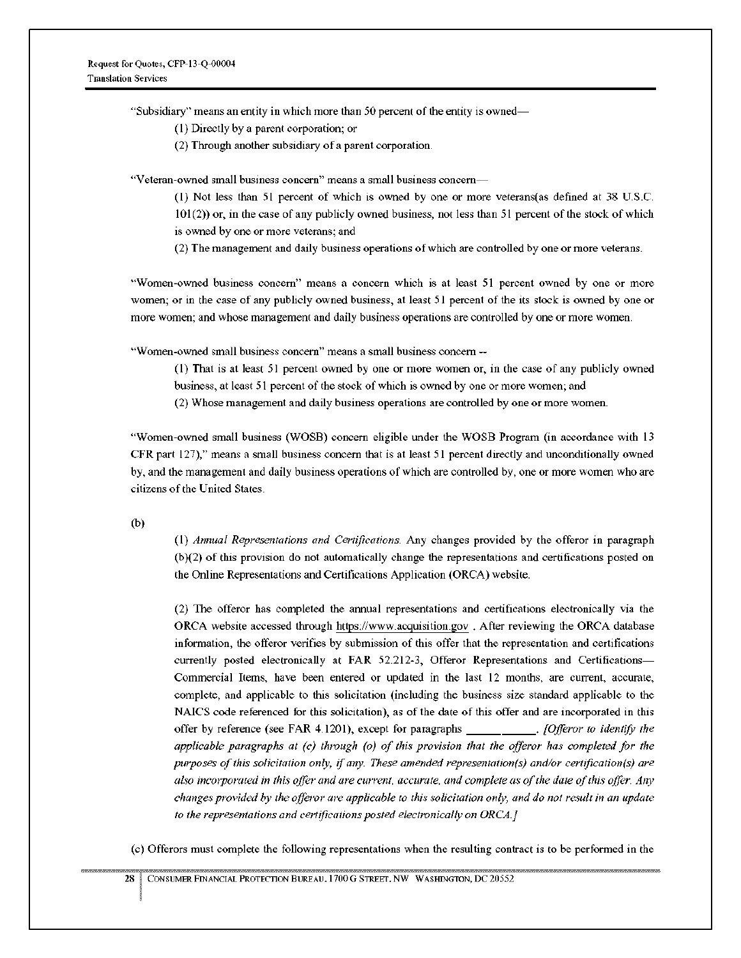"Subsidiary" means an entity in which more than 50 percent of the entity is owned—

( I) Directly by a parent corporation; or

(2) Through another subsidiary of a parent corporation

"Veteran-owned small business concern" means a small business concern—

 $(1)$  Not less than 51 percent of which is owned by one or more veterans(as defined at 38 U.S.C. 101(2)) or, in the case of any publicly owned business, not less than 51 percent of the stock of which is owned by one or more veterans; and

(2) The management and daily business operations of which are controlled by one or more veterans

"Women-owned business concern" means a concern which is at least 51 percent owned by one or more women; or in the case of any publicly owned business, at least 51 percent of the its stock is owned by one or more women; and whose management and daily business operations are controlled by one or more women.

"Women-owned small business concern" means a small business concern--

(I) That is at least 51 percent owned by one or more women or, in the case of any publicly owned business, at least 51 percent of the stock of which is owned by one or more women, and

(2) Whose management and daily business operations are controlled by one or more women

"Women-owned small business (WOSB) concern eligible under the WOSB Program (in accordance with 13 CFR part I27)," means a small business concern that is at least 51 percent directly and unconditionally owned by, and the management and daily business operations of which are controlled by, one or more women who are citizens of the United States

b)

(I) Annual Representations and Certifications Any changes provided by the offeror in paragraph (b)(2) of this provision do not automatically change the representations and certifications posted on the Online Representations and Certifications Application (ORCA) website.

(2) The offeror has completed the annual representations and certifications electronically via the ORCA website accessed through https://www.acquisition.gov. After reviewing the ORCA database information, the offeror verifies by submission of this offer that the representation and certifications currently posted electronically at FAR 52.212-3, Offeror Representations and Certifications-Commercial Items, have been entered or updated in the last 12 months, are current, accurate, complete, and applicable to this solicitation (including the business size standard applicable to the NAICS code referenced for this solicitation), as of the date of this offer and are incorporated in this offer by reference (see FAR 4.1201), except for paragraphs \_\_\_\_\_\_\_\_\_\_. [Offeror to identify the applicable paragraphs at (c) through (o) of this provision that the offeror has completed for the purposes of this solicitation only, if any. These amended representation(s) and/or certification (s) are also incorporated in this offer and are current, accurate, and complete as of the date of this offer. Any changes provided by the offeror are applicable to this solicitation only and do not result in an update to the representations and certifications posted electronically on ORCA.]

(c) Offerors must complete the following representations when the resulting contract is to be performed in the

28 CONSUMER FINANCIAL PROTECTION BUREAU, 1700 G STREET, NW WASHINGTON, DC 20552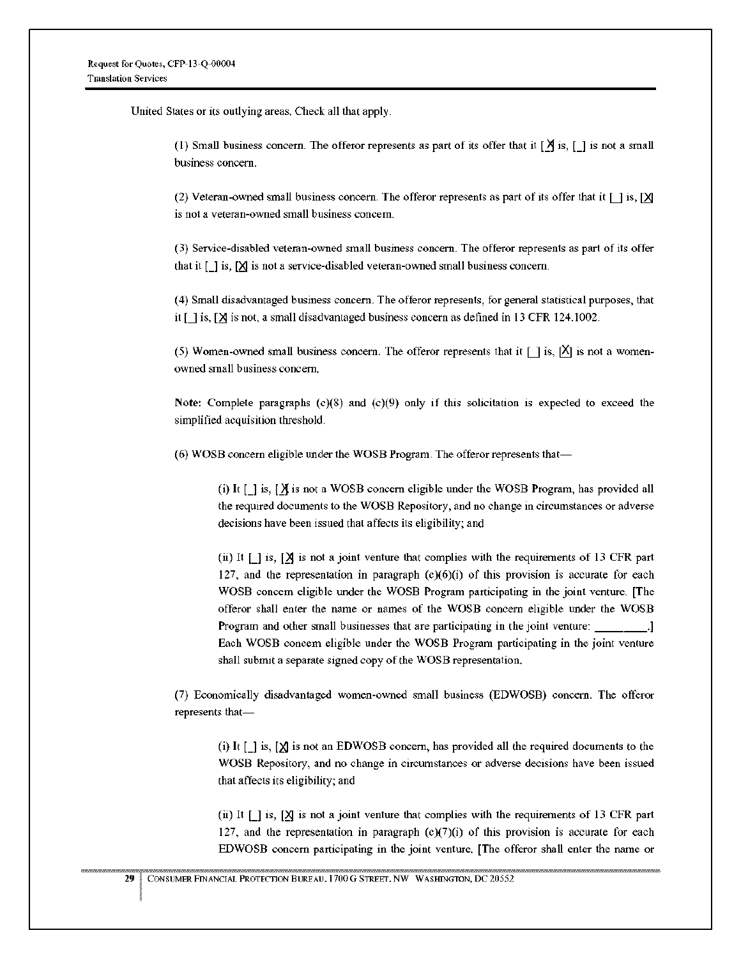United States or its outlying areas. Check all that apply.

(1) Small business concern. The offeror represents as part of its offer that it  $[\overrightarrow{A}]$  is,  $[\cdot]$  is not a small business concern.

(2) Veteran-owned small business concern. The offeror represents as part of its offer that it  $\lceil \cdot \rceil$  is,  $\lceil \mathsf{X} \rceil$ is not a veteran-owned small business concern.

(3) Service-disabled veteran-owned small business concern. The offeror represents as part of its offer that it  $\left[\right]$  is,  $\left[\right]$  is not a service-disabled veteran-owned small business concern.

(4) Small disadvantaged business concern The offeror represents, for general statistical purposes, that it  $\lceil$  1 is,  $\lceil \mathcal{X} \rceil$  is not, a small disadvantaged business concern as defined in 13 CFR 124.1002.

(5) Women-owned small business concern. The offeror represents that it  $\lceil \cdot \rceil$  is,  $\lceil X \rceil$  is not a womenowned small business concern.

Note: Complete paragraphs  $(c)(8)$  and  $(c)(9)$  only if this solicitation is expected to exceed the simplified acquisition threshold.

(6) WOSB concern eligible under the WOSB Program. The offeror represents that—

(i) It  $\lceil \cdot \rceil$  is,  $\lceil \cdot \rceil$  is not a WOSB concern eligible under the WOSB Program, has provided all the required documents to the WOSB Repository, and no change in circumstances or adverse decisions have been issued that affects its eligibility; and

(ii) It  $\Box$  is,  $\Box$  is not a joint venture that complies with the requirements of 13 CFR part 127, and the representation in paragraph  $(c)(6)(i)$  of this provision is accurate for each WOSB concern eligible under the WOSB Program participating in the joint venture [The offeror shall enter the name or names of the WOSB concern eligible under the WOSB Program and other small businesses that are participating in the joint venture: \_\_\_\_\_\_\_.] Each WOSB concern eligible under the WOSB Program participating in the joint venture shall submit a separate signed copy of the WOSB representation.

(7) Economically disadvantaged women-owned small business (EDWOSB) concern. The offeror represents that—

(i) It  $[$  j is,  $[$  $\chi$  is not an EDWOSB concern, has provided all the required documents to the WOSB Repository, and no change in circumstances or adverse decisions have been issued that affects its eligibility; and

(ii) It  $\lceil \cdot \rceil$  is,  $\lceil \cdot \rceil$  is not a joint venture that complies with the requirements of 13 CFR part 127, and the representation in paragraph  $(c)(7)(i)$  of this provision is accurate for each EDWOSB concern participating in the joint venture. [The offeror shall enter the name or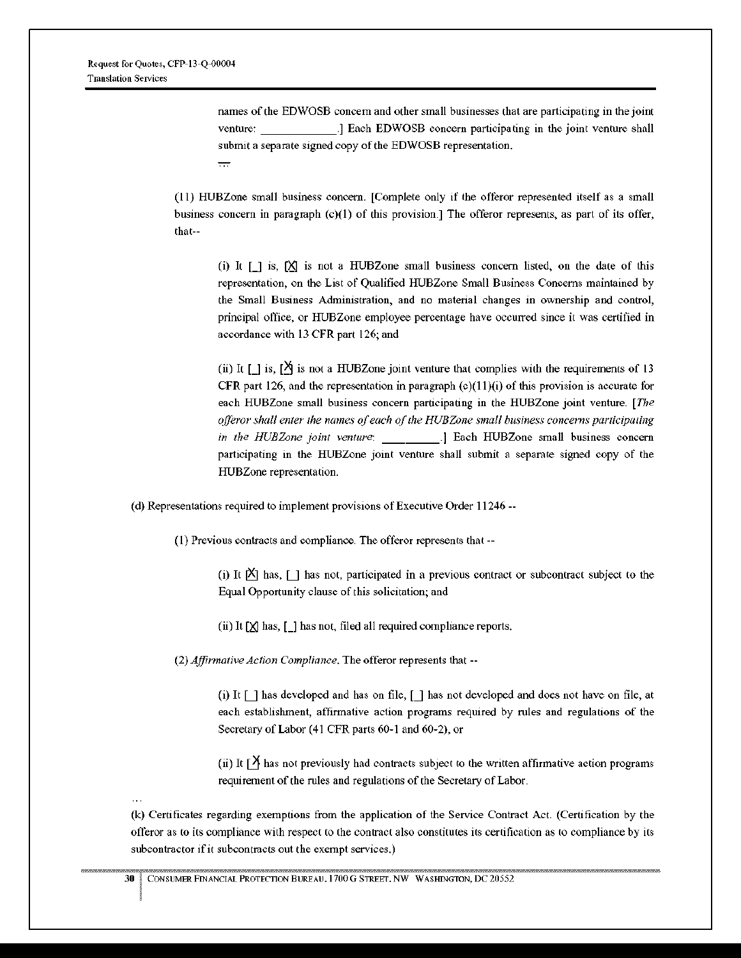names of the EDWOSB concern and other small businesses that are participating in the joint venture' ] Each EDWOSB concern participating in the joint venture shall submit a separate signed copy of the EDWOSB representation.  $\overline{\phantom{a}}$ 

(11) HUBZone small business concern. [Complete only if the offeror represented itself as a small business concern in paragraph (c)(I) of this provision.] The offeror represents, as part of its offer, that--

(i) It  $\lceil \cdot \rceil$  is,  $\lceil \cdot \rceil$  is not a HUBZone small business concern listed, on the date of this representation, on the List of Qualified HUBZone Small Business Concerns maintained by the Small Business Administration, and no material changes in ownership and control, principal office, or HUBZone employee percentage have occurred since it was certified in accordance with 13 CFR part 126; and

(ii) It  $[$  is,  $[$  $\overline{)}$  is not a HUBZone joint venture that complies with the requirements of 13 CFR part 126, and the representation in paragraph  $(c)(11)(i)$  of this provision is accurate for each HUBZone small business concern participating in the HUBZone joint venture [The offeror shall enter the names of each of the HUBZone small business concerns participating in the HUBZone joint venture: [1] [3] [3] [3] Each HUBZone small business concern participating in the HUBZone joint venture shall submit a separate signed copy of the HUBZone representation.

(d) Representations required to implement provisions of Executive Order 11246--

(I) Previous contracts and compliance The offeror represents that --

(i) It  $|\mathsf{X}|$  has,  $\lceil \cdot \rceil$  has not, participated in a previous contract or subcontract subject to the Equal Opportunity clause of this solicitation; and

(ii) It  $[X]$  has,  $[]$  has not, filed all required compliance reports.

*(2)Affirmative Action* Compliance. The offeror represents that --

(i) It  $\lceil \cdot \rceil$  has developed and has on file,  $\lceil \cdot \rceil$  has not developed and does not have on file, at each establishment, affirmative action programs required by rules and regulations of the Secretary of Labor (41 CFR parts 60-1 and 60-2), or

(ii) It  $\lceil \frac{\mathsf{y}}{\mathsf{z}} \rceil$  has not previously had contracts subject to the written affirmative action programs requirement of the rules and regulations of the Secretary of Labor.

(k) Certificates regarding exemptions from the application of the Service Contract Act (Certification by the offeror as to its compliance with respect to the contract also constitutes its certification as to compliance by its subcontractor if it subcontracts out the exempt services.)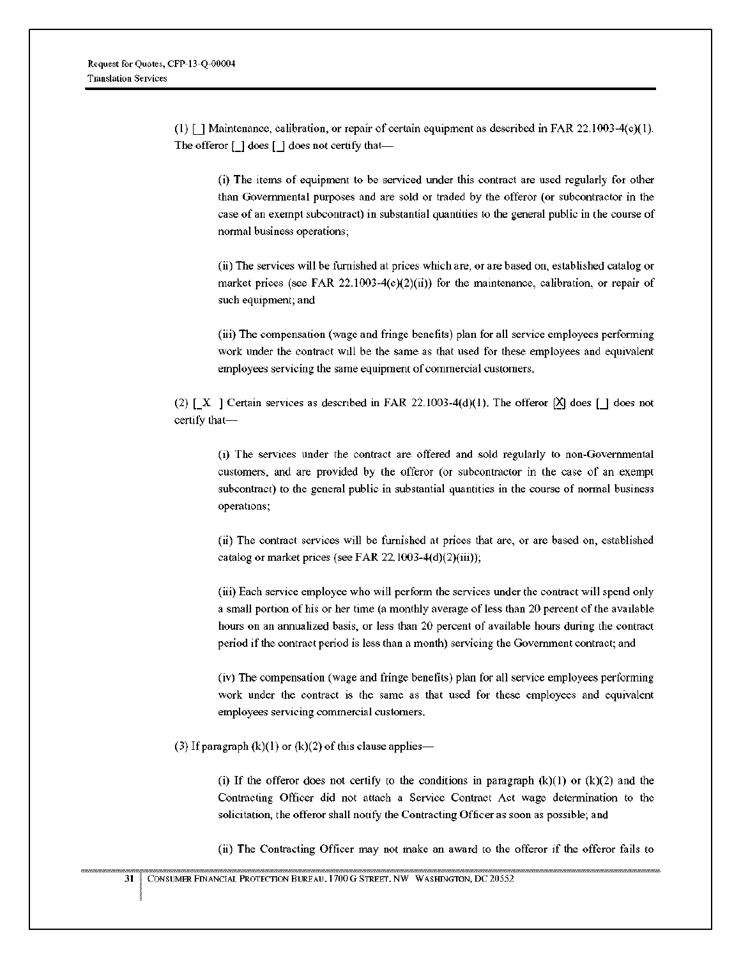(1) [ ] Maintenance, calibration, or repair of certain equipment as described in FAR 22.1003-4(c)(1). The offeror  $\Box$  does  $\Box$  does not certify that—

(i) The Items of equipment to be serviced under this contract are used regularly for other than Governmental purposes and are sold or traded by the offeror (or subcontractor in the case of an exempt subcontract) in substantial quantities to the general public in the course of normal business operations,

(it) The services will be furnished at prices which are, or are based on, established catalog or market prices (see FAR 22.1003-4(c)(2)(ii)) for the maintenance, calibration, or repair of such equipment; and

(iii) The compensation (wage and fringe benefits) plan for all service employees performing work under the contract will be the same as that used for these employees and equivalent employees servicing the same equipment of commercial customers.

(2) [X ] Certain services as described in FAR 22.1003-4(d)(1). The offeror  $[\mathsf{X}]$  does  $[\mathsf{I}]$  does not certify that—

(i) The services under the contract are offered and sold regularly to non-Governmental customers, and are provided by the offeror (or subcontractor in the case of an exempt subcontract) to the general public in substantial quantities in the course of normal business operations;

(ii) The contract services will be furnished at prices that are, or are based on, established catalog or market prices (see FAR 22.1003-4(d)(2)(iii)),

(iii) Each service employee who will perform the services under the contract will spend only a small portion of his or her time (a monthly average of less than 20 percent of the available hours on an annualized basis, or less than 20 percent of available hours during the contract period if the contract period is less than a month) servicing the Government contract; and

(iv) The compensation (wage and fringe benefits) plan for all service employees performing work under the contract is the same as that used for these employees and equivalent employees servicing commercial customers.

(3) If paragraph  $(k)(1)$  or  $(k)(2)$  of this clause applies—

(i) If the offeror does not certify to the conditions in paragraph  $(k)(1)$  or  $(k)(2)$  and the Contracting Officer did not attach a Service Contract Act wage determination to the solicitation, the offeror shall notify the Contracting Officer as soon as possible; and

(ii) The Contracting Officer may not make an award to the offeror if the offeror fails to

31 CONSUMER FINANCIAL PROTECTION BUREAU. 1700 G STREET. NW WASHINGTON, DC 20552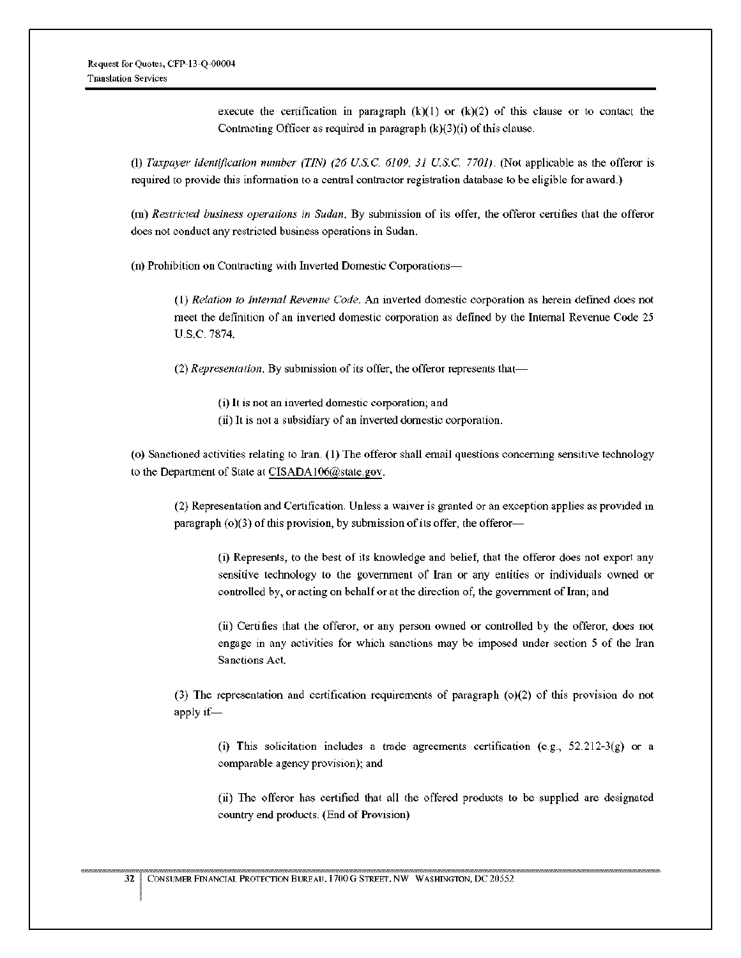execute the certification in paragraph  $(k)(1)$  or  $(k)(2)$  of this clause or to contact the Contracting Officer as required in paragraph  $(k)(3)(i)$  of this clause.

*(I) Taxpayer* identification number (TIN) (26 CSC. 6109. 31 CSC. 7701) (Not applicable as the offeror is required to provide this information to a central contractor registration database to be eligible for award.)

(m) Restricted business operations in Sudan. By submission of its offer, the offeror certifies that the offeror does not conduct any restricted business operations in Sudan.

(n) Prohibition on Contracting with Inverted Domestic Corporations—

*(I)* Relation to Internal Revenue Code. An Inverted domestic corporation as herein defined does not meet the definition of an Inverted domestic corporation as defined by the Internal Revenue Code 25 U.S.C.7874.

*(2)Representation.* By submission of its offer, the offeror represents that—

(i) It is not an inverted domestic corporation, and

(ii) It is not a subsidiary of an inverted domestic corporation.

(o) Sanctioned activities relating to Iran (1) The offeror shall email questions concerning sensitive technology to the Department of State at CISADA106@state.gov.

(2) Representation and Certification Unless a waiver is granted or an exception applies as provided in paragraph (o)(3) of this provision, by submission of its offer, the offeror—

(i) Represents, to the best of its knowledge and belief, that the offeror does not export any sensitive technology to the government of Iran or any entities or individuals owned or controlled by, or acting on behalf or at the direction of, the government of Iran, and

(ii) Certifies that the offeror, or any person owned or controlled by the offeror, does not engage in any activities for which sanctions may be imposed under section 5 of the Iran Sanctions Act.

(3) The representation and certification requirements of paragraph (o)(2) of this provision do not apply if—

(i) This solicitation includes a trade agreements certification (e.g.,  $52.212-3(g)$  or a comparable agency provision); and

(ii) The offeror has certified that all the offered products to be supplied are designated country end products (End of Provision)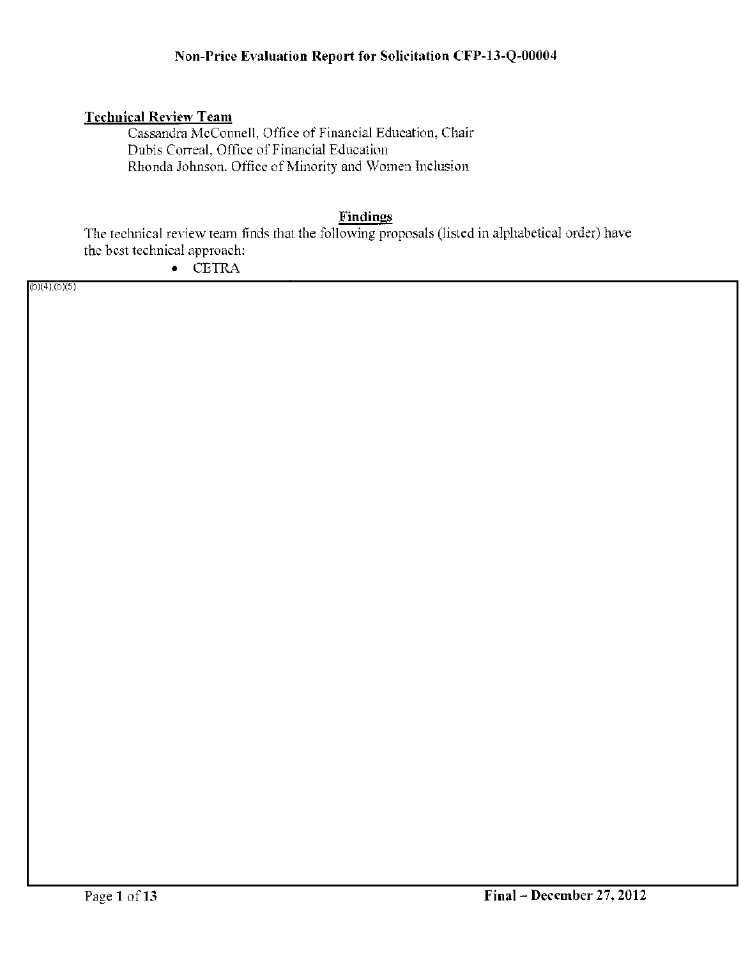## Technical Review Team

Cassandra McConnell, Office of Financial Education, Chair Dubis Correal, Office of Financial Education Rhonda Johnson, Office of Minority and Women Inclusion

## Findings

The technical review team finds that the following proposals (listed in alphabetical order) have the best technical approach:

• CETRA

 $(b)(4)$ <sub>(</sub>b)(5)